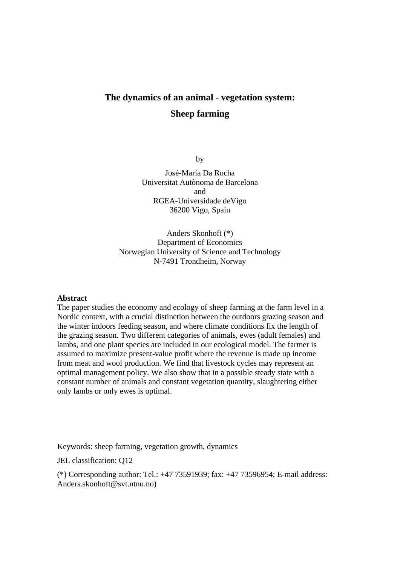# **The dynamics of an animal - vegetation system: Sheep farming**

by

José-María Da Rocha Universitat Autònoma de Barcelona and RGEA-Universidade deVigo 36200 Vigo, Spain

Anders Skonhoft (\*) Department of Economics Norwegian University of Science and Technology N-7491 Trondheim, Norway

#### **Abstract**

The paper studies the economy and ecology of sheep farming at the farm level in a Nordic context, with a crucial distinction between the outdoors grazing season and the winter indoors feeding season, and where climate conditions fix the length of the grazing season. Two different categories of animals, ewes (adult females) and lambs, and one plant species are included in our ecological model. The farmer is assumed to maximize present-value profit where the revenue is made up income from meat and wool production. We find that livestock cycles may represent an optimal management policy. We also show that in a possible steady state with a constant number of animals and constant vegetation quantity, slaughtering either only lambs or only ewes is optimal.

Keywords: sheep farming, vegetation growth, dynamics

JEL classification: Q12

(\*) Corresponding author: Tel.: +47 73591939; fax: +47 73596954; E-mail address: Anders.skonhoft@svt.ntnu.no)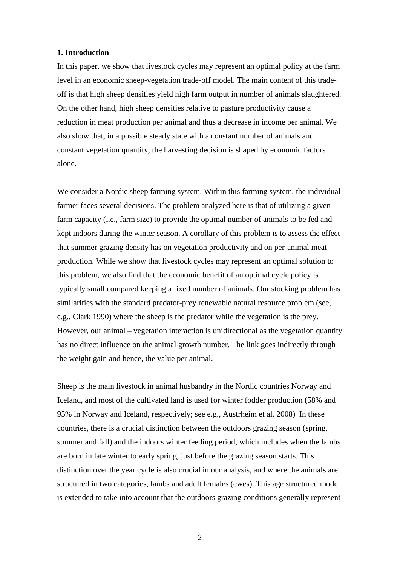## **1. Introduction**

In this paper, we show that livestock cycles may represent an optimal policy at the farm level in an economic sheep-vegetation trade-off model. The main content of this tradeoff is that high sheep densities yield high farm output in number of animals slaughtered. On the other hand, high sheep densities relative to pasture productivity cause a reduction in meat production per animal and thus a decrease in income per animal. We also show that, in a possible steady state with a constant number of animals and constant vegetation quantity, the harvesting decision is shaped by economic factors alone.

We consider a Nordic sheep farming system. Within this farming system, the individual farmer faces several decisions. The problem analyzed here is that of utilizing a given farm capacity (i.e., farm size) to provide the optimal number of animals to be fed and kept indoors during the winter season. A corollary of this problem is to assess the effect that summer grazing density has on vegetation productivity and on per-animal meat production. While we show that livestock cycles may represent an optimal solution to this problem, we also find that the economic benefit of an optimal cycle policy is typically small compared keeping a fixed number of animals. Our stocking problem has similarities with the standard predator-prey renewable natural resource problem (see, e.g., Clark 1990) where the sheep is the predator while the vegetation is the prey. However, our animal – vegetation interaction is unidirectional as the vegetation quantity has no direct influence on the animal growth number. The link goes indirectly through the weight gain and hence, the value per animal.

Sheep is the main livestock in animal husbandry in the Nordic countries Norway and Iceland, and most of the cultivated land is used for winter fodder production (58% and 95% in Norway and Iceland, respectively; see e.g., Austrheim et al. 2008). In these countries, there is a crucial distinction between the outdoors grazing season (spring, summer and fall) and the indoors winter feeding period, which includes when the lambs are born in late winter to early spring, just before the grazing season starts. This distinction over the year cycle is also crucial in our analysis, and where the animals are structured in two categories, lambs and adult females (ewes). This age structured model is extended to take into account that the outdoors grazing conditions generally represent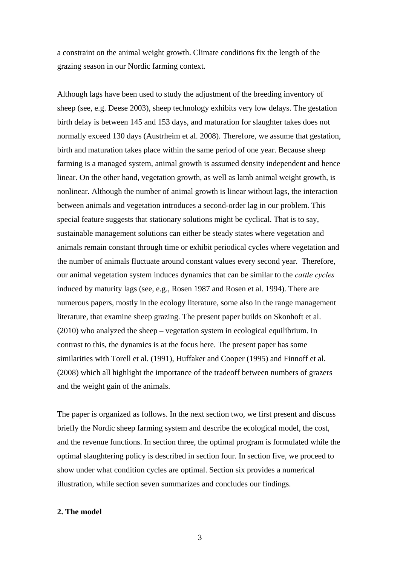a constraint on the animal weight growth. Climate conditions fix the length of the grazing season in our Nordic farming context.

Although lags have been used to study the adjustment of the breeding inventory of sheep (see, e.g. Deese 2003), sheep technology exhibits very low delays. The gestation birth delay is between 145 and 153 days, and maturation for slaughter takes does not normally exceed 130 days (Austrheim et al. 2008). Therefore, we assume that gestation, birth and maturation takes place within the same period of one year. Because sheep farming is a managed system, animal growth is assumed density independent and hence linear. On the other hand, vegetation growth, as well as lamb animal weight growth, is nonlinear. Although the number of animal growth is linear without lags, the interaction between animals and vegetation introduces a second-order lag in our problem. This special feature suggests that stationary solutions might be cyclical. That is to say, sustainable management solutions can either be steady states where vegetation and animals remain constant through time or exhibit periodical cycles where vegetation and the number of animals fluctuate around constant values every second year. Therefore, our animal vegetation system induces dynamics that can be similar to the *cattle cycles*  induced by maturity lags (see, e.g., Rosen 1987 and Rosen et al. 1994). There are numerous papers, mostly in the ecology literature, some also in the range management literature, that examine sheep grazing. The present paper builds on Skonhoft et al. (2010) who analyzed the sheep – vegetation system in ecological equilibrium. In contrast to this, the dynamics is at the focus here. The present paper has some similarities with Torell et al. (1991), Huffaker and Cooper (1995) and Finnoff et al. (2008) which all highlight the importance of the tradeoff between numbers of grazers and the weight gain of the animals.

The paper is organized as follows. In the next section two, we first present and discuss briefly the Nordic sheep farming system and describe the ecological model, the cost, and the revenue functions. In section three, the optimal program is formulated while the optimal slaughtering policy is described in section four. In section five, we proceed to show under what condition cycles are optimal. Section six provides a numerical illustration, while section seven summarizes and concludes our findings.

## **2. The model**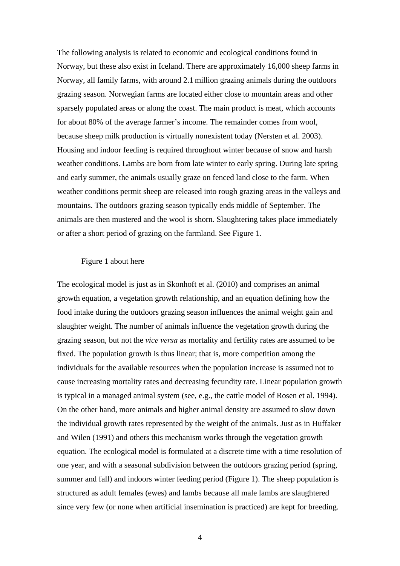The following analysis is related to economic and ecological conditions found in Norway, but these also exist in Iceland. There are approximately 16,000 sheep farms in Norway, all family farms, with around 2.1 million grazing animals during the outdoors grazing season. Norwegian farms are located either close to mountain areas and other sparsely populated areas or along the coast. The main product is meat, which accounts for about 80% of the average farmer's income. The remainder comes from wool, because sheep milk production is virtually nonexistent today (Nersten et al. 2003). Housing and indoor feeding is required throughout winter because of snow and harsh weather conditions. Lambs are born from late winter to early spring. During late spring and early summer, the animals usually graze on fenced land close to the farm. When weather conditions permit sheep are released into rough grazing areas in the valleys and mountains. The outdoors grazing season typically ends middle of September. The animals are then mustered and the wool is shorn. Slaughtering takes place immediately or after a short period of grazing on the farmland. See Figure 1.

#### Figure 1 about here

The ecological model is just as in Skonhoft et al. (2010) and comprises an animal growth equation, a vegetation growth relationship, and an equation defining how the food intake during the outdoors grazing season influences the animal weight gain and slaughter weight. The number of animals influence the vegetation growth during the grazing season, but not the *vice versa* as mortality and fertility rates are assumed to be fixed. The population growth is thus linear; that is, more competition among the individuals for the available resources when the population increase is assumed not to cause increasing mortality rates and decreasing fecundity rate. Linear population growth is typical in a managed animal system (see, e.g., the cattle model of Rosen et al. 1994). On the other hand, more animals and higher animal density are assumed to slow down the individual growth rates represented by the weight of the animals. Just as in Huffaker and Wilen (1991) and others this mechanism works through the vegetation growth equation. The ecological model is formulated at a discrete time with a time resolution of one year, and with a seasonal subdivision between the outdoors grazing period (spring, summer and fall) and indoors winter feeding period (Figure 1). The sheep population is structured as adult females (ewes) and lambs because all male lambs are slaughtered since very few (or none when artificial insemination is practiced) are kept for breeding.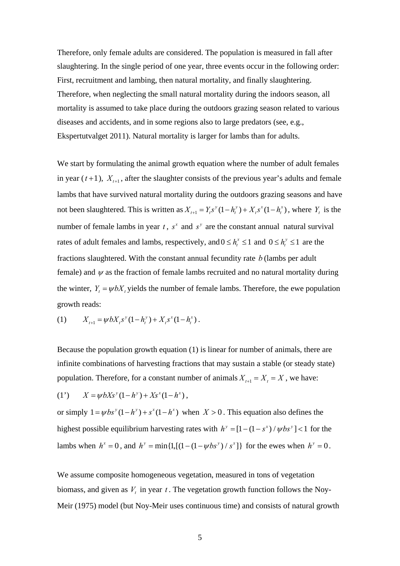Therefore, only female adults are considered. The population is measured in fall after slaughtering. In the single period of one year, three events occur in the following order: First, recruitment and lambing, then natural mortality, and finally slaughtering. Therefore, when neglecting the small natural mortality during the indoors season, all mortality is assumed to take place during the outdoors grazing season related to various diseases and accidents, and in some regions also to large predators (see, e.g., Ekspertutvalget 2011). Natural mortality is larger for lambs than for adults.

We start by formulating the animal growth equation where the number of adult females in year  $(t+1)$ ,  $X_{t+1}$ , after the slaughter consists of the previous year's adults and female lambs that have survived natural mortality during the outdoors grazing seasons and have not been slaughtered. This is written as  $X_{t+1} = Y_t s^y (1 - h_t^y) + X_t s^x (1 - h_t^x)$ , where  $Y_t$  is the number of female lambs in year  $t$ ,  $s^x$  and  $s^y$  are the constant annual natural survival rates of adult females and lambs, respectively, and  $0 \le h_t^x \le 1$  and  $0 \le h_t^y \le 1$  are the fractions slaughtered. With the constant annual fecundity rate *b* (lambs per adult female) and  $\psi$  as the fraction of female lambs recruited and no natural mortality during the winter,  $Y_t = \psi bX_t$  yields the number of female lambs. Therefore, the ewe population growth reads:

(1) 
$$
X_{t+1} = \psi b X_t s^{y} (1 - h_t^{y}) + X_t s^{x} (1 - h_t^{x}).
$$

Because the population growth equation (1) is linear for number of animals, there are infinite combinations of harvesting fractions that may sustain a stable (or steady state) population. Therefore, for a constant number of animals  $X_{t+1} = X_t = X$ , we have:

(1') 
$$
X = \psi b X s^{y} (1 - h^{y}) + X s^{x} (1 - h^{x}),
$$

or simply  $1 = \psi bs^y (1 - h^y) + s^x (1 - h^x)$  when  $X > 0$ . This equation also defines the highest possible equilibrium harvesting rates with  $h^y = [1 - (1 - s^x) / \psi bs^y] < 1$  for the lambs when  $h^x = 0$ , and  $h^y = \min\{1, [(1 - (1 - \psi b s^y) / s^x)]\}$  for the ewes when  $h^y = 0$ .

We assume composite homogeneous vegetation, measured in tons of vegetation biomass, and given as  $V_t$  in year  $t$ . The vegetation growth function follows the Noy-Meir (1975) model (but Noy-Meir uses continuous time) and consists of natural growth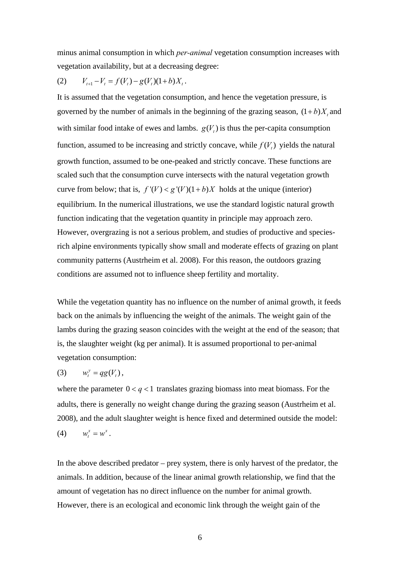minus animal consumption in which *per-animal* vegetation consumption increases with vegetation availability, but at a decreasing degree:

(2) 
$$
V_{t+1} - V_t = f(V_t) - g(V_t)(1+b)X_t.
$$

It is assumed that the vegetation consumption, and hence the vegetation pressure, is governed by the number of animals in the beginning of the grazing season,  $(1+b)X$ , and with similar food intake of ewes and lambs.  $g(V_t)$  is thus the per-capita consumption function, assumed to be increasing and strictly concave, while  $f(V_t)$  yields the natural growth function, assumed to be one-peaked and strictly concave. These functions are scaled such that the consumption curve intersects with the natural vegetation growth curve from below; that is,  $f'(V) < g'(V)(1 + b)X$  holds at the unique (interior) equilibrium. In the numerical illustrations, we use the standard logistic natural growth function indicating that the vegetation quantity in principle may approach zero. However, overgrazing is not a serious problem, and studies of productive and speciesrich alpine environments typically show small and moderate effects of grazing on plant community patterns (Austrheim et al. 2008). For this reason, the outdoors grazing conditions are assumed not to influence sheep fertility and mortality.

While the vegetation quantity has no influence on the number of animal growth, it feeds back on the animals by influencing the weight of the animals. The weight gain of the lambs during the grazing season coincides with the weight at the end of the season; that is, the slaughter weight (kg per animal). It is assumed proportional to per-animal vegetation consumption:

$$
(3) \qquad w_t^y = qg(V_t)\,,
$$

where the parameter  $0 < q < 1$  translates grazing biomass into meat biomass. For the adults, there is generally no weight change during the grazing season (Austrheim et al. 2008), and the adult slaughter weight is hence fixed and determined outside the model: (4)  $w_x^x = w^x$ .

In the above described predator – prey system, there is only harvest of the predator, the animals. In addition, because of the linear animal growth relationship, we find that the amount of vegetation has no direct influence on the number for animal growth. However, there is an ecological and economic link through the weight gain of the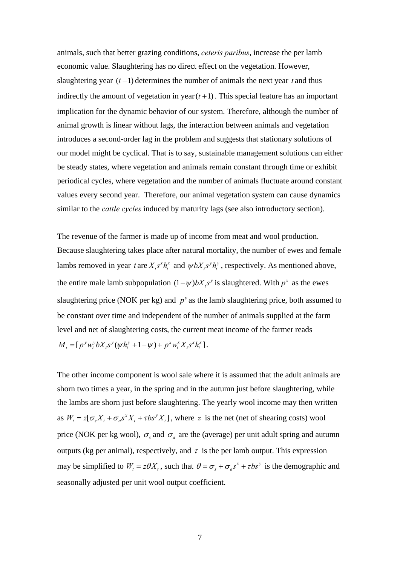animals, such that better grazing conditions, *ceteris paribus*, increase the per lamb economic value. Slaughtering has no direct effect on the vegetation. However, slaughtering year  $(t-1)$  determines the number of animals the next year *t* and thus indirectly the amount of vegetation in year $(t+1)$ . This special feature has an important implication for the dynamic behavior of our system. Therefore, although the number of animal growth is linear without lags, the interaction between animals and vegetation introduces a second-order lag in the problem and suggests that stationary solutions of our model might be cyclical. That is to say, sustainable management solutions can either be steady states, where vegetation and animals remain constant through time or exhibit periodical cycles, where vegetation and the number of animals fluctuate around constant values every second year. Therefore, our animal vegetation system can cause dynamics similar to the *cattle cycles* induced by maturity lags (see also introductory section).

The revenue of the farmer is made up of income from meat and wool production. Because slaughtering takes place after natural mortality, the number of ewes and female lambs removed in year *t* are  $X_t s^x h_t^x$  and  $\psi b X_t s^y h_t^y$ , respectively. As mentioned above, the entire male lamb subpopulation  $(1 - \psi) bX_t s^y$  is slaughtered. With  $p^x$  as the ewes slaughtering price (NOK per kg) and  $p^y$  as the lamb slaughtering price, both assumed to be constant over time and independent of the number of animals supplied at the farm level and net of slaughtering costs, the current meat income of the farmer reads  $M_{t} = [ p^{y} w_{t}^{y} b X_{t} s^{y} ( \psi h_{t}^{y} + 1 - \psi ) + p^{x} w_{t}^{x} X_{t} s^{x} h_{t}^{x} ].$ 

The other income component is wool sale where it is assumed that the adult animals are shorn two times a year, in the spring and in the autumn just before slaughtering, while the lambs are shorn just before slaughtering. The yearly wool income may then written as  $W_t = z[\sigma_s X_t + \sigma_s s^x X_t + \tau bs^y X_t]$ , where *z* is the net (net of shearing costs) wool price (NOK per kg wool),  $\sigma_s$  and  $\sigma_a$  are the (average) per unit adult spring and autumn outputs (kg per animal), respectively, and  $\tau$  is the per lamb output. This expression may be simplified to  $W_t = z\theta X_t$ , such that  $\theta = \sigma_s + \sigma_a s^x + \tau b s^y$  is the demographic and seasonally adjusted per unit wool output coefficient.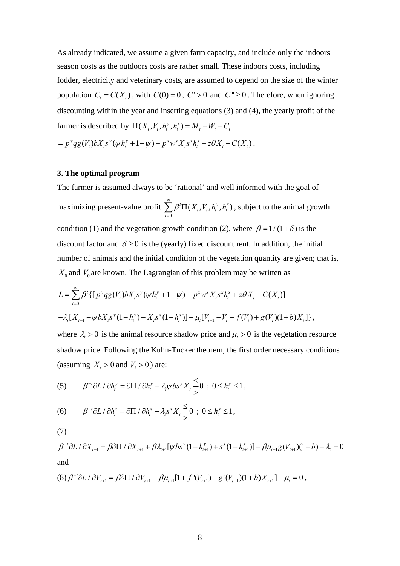As already indicated, we assume a given farm capacity, and include only the indoors season costs as the outdoors costs are rather small. These indoors costs, including fodder, electricity and veterinary costs, are assumed to depend on the size of the winter population  $C_t = C(X_t)$ , with  $C(0) = 0$ ,  $C' > 0$  and  $C'' \ge 0$ . Therefore, when ignoring discounting within the year and inserting equations (3) and (4), the yearly profit of the farmer is described by  $\Pi(X_t, V_t, h_t^y, h_t^x) = M_t + W_t - C_t$ 

 $= p^y q g(V_t) bX_t s^y (\psi h_t^y + 1 - \psi) + p^x w^x X_t s^x h_t^x + z \theta X_t - C(X_t).$ 

## **3. The optimal program**

The farmer is assumed always to be 'rational' and well informed with the goal of maximizing present-value profit  $\mathbf{0}$  ${}^{t}\Pi(X_{t}, V_{t}, h_{t}^{y}, h_{t}^{x})$ *t*  $\beta^t \Pi(X_t, V_t, h_t^y, h_t^y)$  $\infty$  $\sum_{t=0} \beta^t \Pi(X_t, V_t, h_t^y, h_t^x)$ , subject to the animal growth condition (1) and the vegetation growth condition (2), where  $\beta = 1/(1+\delta)$  is the discount factor and  $\delta \ge 0$  is the (yearly) fixed discount rent. In addition, the initial number of animals and the initial condition of the vegetation quantity are given; that is,  $X_0$  and  $V_0$  are known. The Lagrangian of this problem may be written as

$$
L = \sum_{t=0}^{\infty} \beta^{t} \{ [p^{y} q g(V_{t}) bX_{t} s^{y} (\psi h_{t}^{y} + 1 - \psi) + p^{x} w^{x} X_{t} s^{x} h_{t}^{x} + z \theta X_{t} - C(X_{t})] - \lambda_{t} [X_{t+1} - \psi bX_{t} s^{y} (1 - h_{t}^{y}) - X_{t} s^{x} (1 - h_{t}^{x})] - \mu_{t} [V_{t+1} - V_{t} - f(V_{t}) + g(V_{t}) (1 + b) X_{t}] \},
$$

where  $\lambda_i > 0$  is the animal resource shadow price and  $\mu_i > 0$  is the vegetation resource shadow price. Following the Kuhn-Tucker theorem, the first order necessary conditions (assuming  $X_t > 0$  and  $V_t > 0$ ) are:

(5) 
$$
\beta^{-t} \partial L / \partial h_t^y = \partial \Pi / \partial h_t^y - \lambda_t \psi b s^y X_t \frac{\leq}{>} 0 ; 0 \leq h_t^y \leq 1,
$$

(6) 
$$
\beta^{-t} \partial L / \partial h_t^x = \partial \Pi / \partial h_t^x - \lambda_t s^x X_t \frac{\leq}{>} 0 \, ; \, 0 \leq h_t^x \leq 1,
$$

(7)

 $\beta^{-t}\partial L / \partial X_{t+1} = \beta \partial \Pi / \partial X_{t+1} + \beta \lambda_{t+1} [\psi bs^y(1-h_{t+1}^y) + s^x(1-h_{t+1}^x)] - \beta \mu_{t+1} g(V_{t+1})(1+b) - \lambda_t = 0$ and

$$
(8) \ \beta^{-t} \partial L / \partial V_{t+1} = \beta \partial \Pi / \partial V_{t+1} + \beta \mu_{t+1} [1 + f'(V_{t+1}) - g'(V_{t+1})(1 + b) X_{t+1}] - \mu_t = 0 \ ,
$$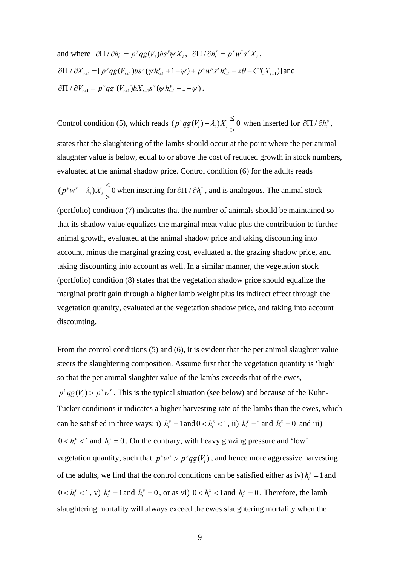and where 
$$
\frac{\partial \Pi}{\partial h_t^y} = p^y q g(V_t) b s^y \psi X_t
$$
,  $\frac{\partial \Pi}{\partial h_t^x} = p^x w^x s^x X_t$ ,  
\n $\frac{\partial \Pi}{\partial X_{t+1}} = [p^y q g(V_{t+1}) b s^y (\psi h_{t+1}^y + 1 - \psi) + p^x w^x s^x h_{t+1}^x + z \theta - C'(X_{t+1})]$  and  
\n $\frac{\partial \Pi}{\partial V_{t+1}} = p^y q g'(V_{t+1}) b X_{t+1} s^y (\psi h_{t+1}^y + 1 - \psi)$ .

Control condition (5), which reads  $(p^y q g(V_t) - \lambda_t) X_t \leq 0$  when inserted for  $\partial \Pi / \partial h_t^y$ , states that the slaughtering of the lambs should occur at the point where the per animal slaughter value is below, equal to or above the cost of reduced growth in stock numbers, evaluated at the animal shadow price. Control condition (6) for the adults reads

 $(p^y w^x - \lambda_i) X_i \leq 0$  when inserting for  $\partial \Pi / \partial h_i^x$ , and is analogous. The animal stock

(portfolio) condition (7) indicates that the number of animals should be maintained so that its shadow value equalizes the marginal meat value plus the contribution to further animal growth, evaluated at the animal shadow price and taking discounting into account, minus the marginal grazing cost, evaluated at the grazing shadow price, and taking discounting into account as well. In a similar manner, the vegetation stock (portfolio) condition (8) states that the vegetation shadow price should equalize the marginal profit gain through a higher lamb weight plus its indirect effect through the vegetation quantity, evaluated at the vegetation shadow price, and taking into account discounting.

From the control conditions (5) and (6), it is evident that the per animal slaughter value steers the slaughtering composition. Assume first that the vegetation quantity is 'high' so that the per animal slaughter value of the lambs exceeds that of the ewes,  $p^{\nu}qg(V_t) > p^{\nu}w^{\nu}$ . This is the typical situation (see below) and because of the Kuhn-Tucker conditions it indicates a higher harvesting rate of the lambs than the ewes, which can be satisfied in three ways: i)  $h_t^y = 1$  and  $0 < h_t^x < 1$ , ii)  $h_t^y = 1$  and  $h_t^x = 0$  and iii)  $0 < h_t^{\gamma} < 1$  and  $h_t^{\gamma} = 0$ . On the contrary, with heavy grazing pressure and 'low' vegetation quantity, such that  $p^x w^x > p^y q g(V_t)$ , and hence more aggressive harvesting of the adults, we find that the control conditions can be satisfied either as iv)  $h_i^x = 1$  and  $0 < h_t^y < 1$ , v)  $h_t^x = 1$  and  $h_t^y = 0$ , or as vi)  $0 < h_t^x < 1$  and  $h_t^y = 0$ . Therefore, the lamb slaughtering mortality will always exceed the ewes slaughtering mortality when the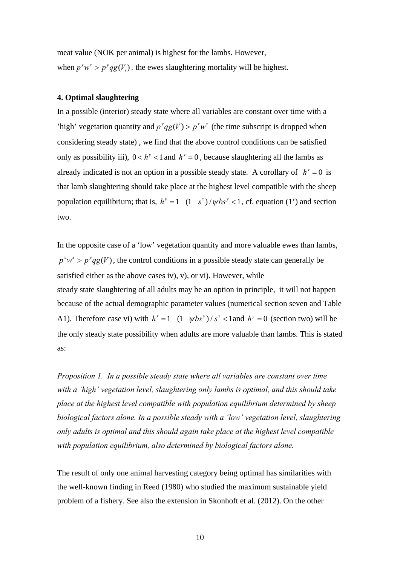meat value (NOK per animal) is highest for the lambs. However, when  $p^x w^x > p^y qg(V_t)$ , the ewes slaughtering mortality will be highest.

## **4. Optimal slaughtering**

In a possible (interior) steady state where all variables are constant over time with a 'high' vegetation quantity and  $p^y qg(V) > p^x w^x$  (the time subscript is dropped when considering steady state) , we find that the above control conditions can be satisfied only as possibility iii),  $0 < h^{\gamma} < 1$  and  $h^{\gamma} = 0$ , because slaughtering all the lambs as already indicated is not an option in a possible steady state. A corollary of  $h^x = 0$  is that lamb slaughtering should take place at the highest level compatible with the sheep population equilibrium; that is,  $h^y = 1 - (1 - s^x) / \psi b s^y < 1$ , cf. equation (1') and section two.

In the opposite case of a 'low' vegetation quantity and more valuable ewes than lambs,  $p^x w^x > p^y qg(V)$ , the control conditions in a possible steady state can generally be satisfied either as the above cases iv), v), or vi). However, while steady state slaughtering of all adults may be an option in principle, it will not happen because of the actual demographic parameter values (numerical section seven and Table A1). Therefore case vi) with  $h^x = 1 - (1 - \psi b s^y) / s^x < 1$  and  $h^y = 0$  (section two) will be the only steady state possibility when adults are more valuable than lambs. This is stated as:

*Proposition 1. In a possible steady state where all variables are constant over time with a 'high' vegetation level, slaughtering only lambs is optimal, and this should take place at the highest level compatible with population equilibrium determined by sheep biological factors alone. In a possible steady with a 'low' vegetation level, slaughtering only adults is optimal and this should again take place at the highest level compatible with population equilibrium, also determined by biological factors alone.* 

The result of only one animal harvesting category being optimal has similarities with the well-known finding in Reed (1980) who studied the maximum sustainable yield problem of a fishery. See also the extension in Skonhoft et al. (2012). On the other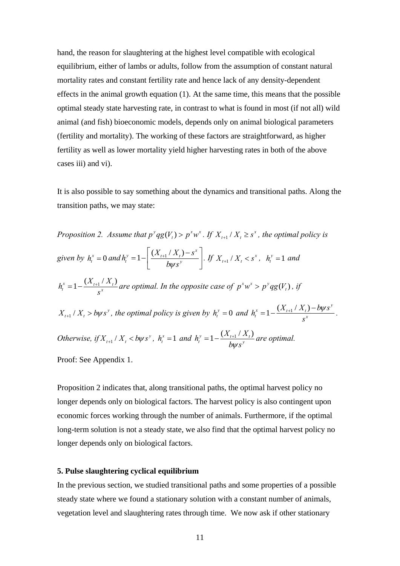hand, the reason for slaughtering at the highest level compatible with ecological equilibrium, either of lambs or adults, follow from the assumption of constant natural mortality rates and constant fertility rate and hence lack of any density-dependent effects in the animal growth equation (1). At the same time, this means that the possible optimal steady state harvesting rate, in contrast to what is found in most (if not all) wild animal (and fish) bioeconomic models, depends only on animal biological parameters (fertility and mortality). The working of these factors are straightforward, as higher fertility as well as lower mortality yield higher harvesting rates in both of the above cases iii) and vi).

It is also possible to say something about the dynamics and transitional paths. Along the transition paths, we may state:

*Proposition 2. Assume that*  $p^y qg(V_t) > p^x w^x$ . If  $X_{t+1} / X_t \geq s^x$ , the optimal policy is *given by*  $h_t^x = 0$  *and*  $h_t^y = 1 - \frac{X_{t+1}^y / X_t - s^x}{I_{t+1}^y / X_t}$  $h_i^y = 1 - \frac{(X_{t+1}/X_t) - s}{h_i^y}$  $\left[\frac{K_{t+1}/K_t - s^x}{b\psi s^y}\right]$ . If  $X_{t+1}/X_t < s^x$ ,  $h_t^y = 1$  and  $h_t^x = 1 - \frac{(X_{t+1} / X_t)}{S^x}$ *s*  $a = 1 - \frac{(\Delta_{t+1} / \Delta_t)}{x}$  are optimal. In the opposite case of  $p^x w^x > p^y q g(V_t)$ , if  $X_{t+1}$  /  $X_t > b\psi s^y$ , the optimal policy is given by  $h_t^y = 0$  and  $h_t^x = 1 - \frac{(X_{t+1}/X_t) - b\psi s^y}{x^y}$  $h_t^x = 1 - \frac{(X_{t+1} / X_t) - bys}{s^x}$ *s*  $=1-\frac{(X_{t+1}/X_t)-bys^y}{x}$ . *Otherwise, if*  $X_{t+1}$  /  $X_t$  < *b* $\psi$ *s*<sup>*y*</sup>,  $h_t^x = 1$  *and*  $h_t^y = 1 - \frac{(X_{t+1} / X_t)}{h_t \psi}$  $b \psi s$  $=1-\frac{(\Delta t_{t+1}+\Delta t)}{k}$  are optimal.

Proof: See Appendix 1.

Proposition 2 indicates that, along transitional paths, the optimal harvest policy no longer depends only on biological factors. The harvest policy is also contingent upon economic forces working through the number of animals. Furthermore, if the optimal long-term solution is not a steady state, we also find that the optimal harvest policy no longer depends only on biological factors.

## **5. Pulse slaughtering cyclical equilibrium**

In the previous section, we studied transitional paths and some properties of a possible steady state where we found a stationary solution with a constant number of animals, vegetation level and slaughtering rates through time. We now ask if other stationary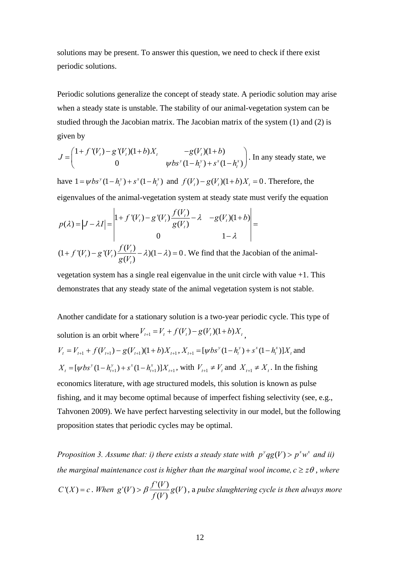solutions may be present. To answer this question, we need to check if there exist periodic solutions.

Periodic solutions generalize the concept of steady state. A periodic solution may arise when a steady state is unstable. The stability of our animal-vegetation system can be studied through the Jacobian matrix. The Jacobian matrix of the system (1) and (2) is given by

$$
J = \begin{pmatrix} 1 + f'(V_t) - g'(V_t)(1+b)X_t & -g(V_t)(1+b) \\ 0 & \psi bs^{y}(1-h_t^{y}) + s^{x}(1-h_t^{x}) \end{pmatrix}
$$
. In any steady state, we

have  $1 = \psi b s^{y} (1 - h_{i}^{y}) + s^{x} (1 - h_{i}^{x})$  and  $f(V_{t}) - g(V_{t}) (1 + b) X_{t} = 0$ . Therefore, the eigenvalues of the animal-vegetation system at steady state must verify the equation

$$
p(\lambda) = |J - \lambda I| = \begin{vmatrix} 1 + f'(V_t) - g'(V_t) \frac{f(V_t)}{g(V_t)} - \lambda & -g(V_t)(1+b) \\ 0 & 1 - \lambda \end{vmatrix} =
$$
  
(1 + f'(V\_t) - g'(V\_t) \frac{f(V\_t)}{g(V\_t)} - \lambda)(1 - \lambda) = 0. We find that the Jacobian of the animal-

vegetation system has a single real eigenvalue in the unit circle with value +1. This demonstrates that any steady state of the animal vegetation system is not stable.

Another candidate for a stationary solution is a two-year periodic cycle. This type of solution is an orbit where  $V_{t+1} = V_t + f(V_t) - g(V_t)(1+b)X_t$ .

$$
V_t = V_{t+1} + f(V_{t+1}) - g(V_{t+1})(1+b)X_{t+1}, X_{t+1} = [\psi bs^y(1-h_t^y) + s^x(1-h_t^x)]X_t
$$
 and  
\n
$$
X_t = [\psi bs^y(1-h_{t+1}^y) + s^x(1-h_{t+1}^x)]X_{t+1},
$$
 with  $V_{t+1} \neq V_t$  and  $X_{t+1} \neq X_t$ . In the fishing  
\neconomics literature, with age structured models, this solution is known as pulse  
\nfishing, and it may become optimal because of imperfect fishing selectivity (see, e.g.,  
\nTabvonen 2009). We have perfect harvesting selectivity in our model, but the following  
\nproposition states that periodic cycles may be optimal.

*Proposition 3. Assume that: i) there exists a steady state with*  $p^y qg(V) > p^x w^x$  *and ii) the marginal maintenance cost is higher than the marginal wool income,*  $c \geq z\theta$ , where  $C'(X) = c$ . When  $g'(V) > \beta \frac{f'(V)}{f(V)} g(V)$ *f V*  $g'(V) > \beta \frac{f'(V)}{f(W)} g(V)$ , a pulse slaughtering cycle is then always more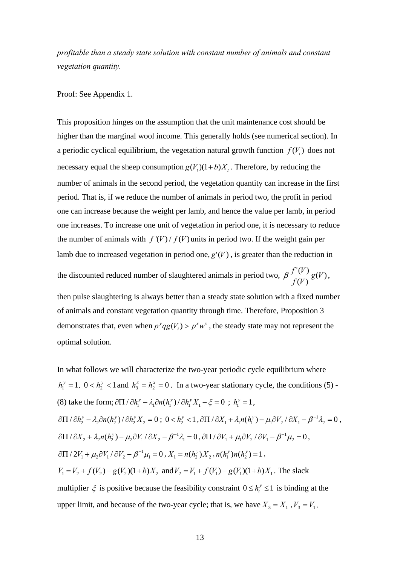*profitable than a steady state solution with constant number of animals and constant vegetation quantity.* 

Proof: See Appendix 1.

This proposition hinges on the assumption that the unit maintenance cost should be higher than the marginal wool income. This generally holds (see numerical section). In a periodic cyclical equilibrium, the vegetation natural growth function  $f(V_t)$  does not necessary equal the sheep consumption  $g(V_t)(1 + b)X_t$ . Therefore, by reducing the number of animals in the second period, the vegetation quantity can increase in the first period. That is, if we reduce the number of animals in period two, the profit in period one can increase because the weight per lamb, and hence the value per lamb, in period one increases. To increase one unit of vegetation in period one, it is necessary to reduce the number of animals with  $f'(V)/f(V)$  units in period two. If the weight gain per lamb due to increased vegetation in period one,  $g'(V)$ , is greater than the reduction in

the discounted reduced number of slaughtered animals in period two,  $\beta \frac{f'(V)}{f(V)} g(V)$ *f V*  $\beta \frac{f'(V)}{f(x)} g(V)$ ,

then pulse slaughtering is always better than a steady state solution with a fixed number of animals and constant vegetation quantity through time. Therefore, Proposition 3 demonstrates that, even when  $p^y qg(V_t) > p^x w^x$ , the steady state may not represent the optimal solution.

In what follows we will characterize the two-year periodic cycle equilibrium where  $h_1^y = 1$ ,  $0 < h_2^y < 1$  and  $h_3^x = h_2^x = 0$ . In a two-year stationary cycle, the conditions (5) -(8) take the form;  $\partial \Pi / \partial h_i^{\nu} - \lambda_i \partial n (h_i^{\nu}) / \partial h_i^{\nu} X_i - \xi = 0$ ;  $h_i^{\nu} = 1$ ,  $\partial \Pi / \partial h_2^{\gamma} - \lambda_2 \partial n(h_2^{\gamma}) / \partial h_2^{\gamma} X_2 = 0$ ;  $0 < h_2^{\gamma} < 1$ ,  $\partial \Pi / \partial X_1 + \lambda_1 n(h_1^{\gamma}) - \mu_1 \partial V_2 / \partial X_1 - \beta^{-1} \lambda_2 = 0$ ,  $\partial \Pi / \partial X_2 + \lambda_2 n(h_2^{\gamma}) - \mu_2 \partial V_1 / \partial X_2 - \beta^{-1} \lambda_1 = 0$ ,  $\partial \Pi / \partial V_1 + \mu_1 \partial V_2 / \partial V_1 - \beta^{-1} \mu_2 = 0$ ,  $\partial \Pi / 2V_1 + \mu_2 \partial V_1 / \partial V_2 - \beta^{-1} \mu_1 = 0$ ,  $X_1 = n(h_2^y) X_2$ ,  $n(h_1^y) n(h_2^y) = 1$ ,  $V_1 = V_2 + f(V_2) - g(V_2)(1 + b)X_2$  and  $V_2 = V_1 + f(V_1) - g(V_1)(1 + b)X_1$ . The slack multiplier  $\xi$  is positive because the feasibility constraint  $0 \le h_t^{\gamma} \le 1$  is binding at the upper limit, and because of the two-year cycle; that is, we have  $X_3 = X_1$ ,  $V_3 = V_1$ ,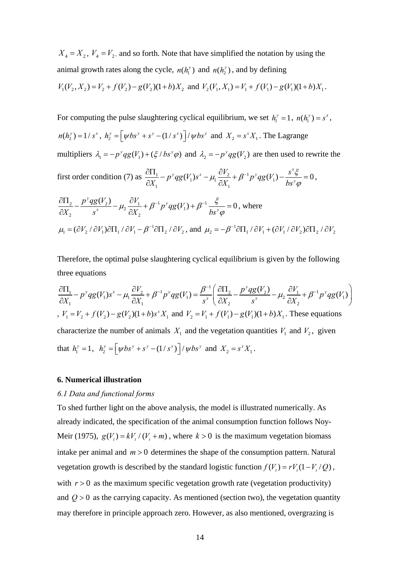$X_4 = X_2$ ,  $V_4 = V_2$ , and so forth. Note that have simplified the notation by using the animal growth rates along the cycle,  $n(h<sub>i</sub><sup>y</sup>)$  and  $n(h<sub>i</sub><sup>y</sup>)$ , and by defining  $V_1(V_2, X_2) = V_2 + f(V_2) - g(V_2)(1 + b)X_2$  and  $V_2(V_1, X_1) = V_1 + f(V_1) - g(V_1)(1 + b)X_1$ .

For computing the pulse slaughtering cyclical equilibrium, we set  $h_1^y = 1$ ,  $n(h_1^y) = s^x$ ,  $n(h_2^y) = 1/s^x$ ,  $h_2^y = \left[ \psi bs^y + s^y - (1/s^x) \right] / \psi bs^y$  and  $X_2 = s^x X_1$ . The Lagrange multipliers  $\lambda_1 = -p^y qg(V_1) + (\xi / bs^y \varphi)$  and  $\lambda_2 = -p^y qg(V_2)$  are then used to rewrite the first order condition (7) as  $\frac{\partial H_1}{\partial y} - p^y q g(V_1) s^x - \mu_1 \frac{\partial V_2}{\partial y} + \beta^{-1} p^y q g(V_1)$ 1  $\mathbf{C} \mathbf{A}_1$  $(V_1) s^x - \mu_1 \frac{V_2}{Z} + \beta^{-1} p^y q g(V_1) - \frac{S_2}{Z} = 0$  $\partial V_2$   $\partial V_1 \cdot \partial V_2$   $\partial V_2$   $\partial V_3$   $\partial V_4$  $\frac{d\Pi_1}{dX_1} - p^{\nu}qg(V_1)s^x - \mu_1 \frac{\partial V_2}{\partial X_1} + \beta^{-1}p^{\nu}qg(V_1) - \frac{s^x \xi^x}{bs^{\nu}q}$  $\varphi$  $\frac{\partial\Pi_1}{\partial X_1} - p^{\nu}qg(V_1)s^x - \mu_1 \frac{\partial V_2}{\partial X_1} + \beta^{-1}p^{\nu}qg(V_1) - \frac{s^x \xi}{bs^{\nu} \varphi} = 0,$  $\frac{2}{2} - \frac{p \cdot q g(v_2)}{x} - \mu_2 \frac{v_1}{2v} + \beta^{-1} p^{\nu} q g(V_1) + \beta^{-1}$ 2  $\qquad \qquad$   $\qquad \qquad$   $\qquad \qquad$   $\qquad \qquad$   $\qquad \qquad$   $\qquad \qquad$   $\qquad \qquad$   $\qquad \qquad$   $\qquad \qquad$   $\qquad \qquad$   $\qquad \qquad$   $\qquad \qquad$   $\qquad \qquad$   $\qquad \qquad$   $\qquad \qquad$   $\qquad \qquad$   $\qquad \qquad$   $\qquad \qquad$   $\qquad \qquad$   $\qquad \qquad$   $\qquad \qquad$   $\qquad \qquad$   $\qquad \qquad$   $\qquad \qquad$   $\q$  $\frac{\partial^y q g(V_2)}{\partial V_1} - \mu_2 \frac{\partial V_1}{\partial V_2} + \beta^{-1} p^y q g(V_1) + \beta^{-1} \frac{\xi}{\partial V_1} = 0$  $\frac{\Pi_2}{X_2} - \frac{p^{\nu}qg(V_2)}{s^x} - \mu_2 \frac{\partial V_1}{\partial X_2} + \beta^{-1}p^{\nu}qg(V_1) + \beta^{-1} \frac{\xi}{bs^{\nu}}$  $\varphi$  $\frac{\partial \Pi_2}{\partial X_2} - \frac{p^{\nu}q g(V_2)}{s^x} - \mu_2 \frac{\partial V_1}{\partial X_2} + \beta^{-1} p^{\nu}q g(V_1) + \beta^{-1} \frac{\xi}{b s^{\nu} \varphi} = 0$ , where  $\mu_1 = (\partial V_2 / \partial V_1) \partial \Pi_1 / \partial V_1 - \beta^{-1} \partial \Pi_2 / \partial V_2$ , and  $\mu_2 = -\beta^{-1} \partial \Pi_1 / \partial V_1 + (\partial V_1 / \partial V_2) \partial \Pi_2 / \partial V_2$ 

Therefore, the optimal pulse slaughtering cyclical equilibrium is given by the following three equations

$$
\frac{\partial \Pi_1}{\partial X_1} - p^y q g(V_1) s^x - \mu_1 \frac{\partial V_2}{\partial X_1} + \beta^{-1} p^y q g(V_1) = \frac{\beta^{-1}}{s^x} \left( \frac{\partial \Pi_2}{\partial X_2} - \frac{p^y q g(V_2)}{s^x} - \mu_2 \frac{\partial V_1}{\partial X_2} + \beta^{-1} p^y q g(V_1) \right)
$$
  
,  $V_1 = V_2 + f(V_2) - g(V_2)(1 + b)s^x X_1$  and  $V_2 = V_1 + f(V_1) - g(V_1)(1 + b)X_1$ . These equations  
characterize the number of animals  $X_1$  and the vegetation quantities  $V_1$  and  $V_2$ , given  
that  $h_1^y = 1$ ,  $h_2^y = \left[ \psi bs^y + s^y - (1/s^x) \right] / \psi bs^y$  and  $X_2 = s^x X_1$ .

## **6. Numerical illustration**

#### *6.1 Data and functional forms*

To shed further light on the above analysis, the model is illustrated numerically. As already indicated, the specification of the animal consumption function follows Noy-Meir (1975),  $g(V_t) = kV_t / (V_t + m)$ , where  $k > 0$  is the maximum vegetation biomass intake per animal and  $m > 0$  determines the shape of the consumption pattern. Natural vegetation growth is described by the standard logistic function  $f(V_t) = rV_t(1 - V_t/Q)$ , with  $r > 0$  as the maximum specific vegetation growth rate (vegetation productivity) and  $Q > 0$  as the carrying capacity. As mentioned (section two), the vegetation quantity may therefore in principle approach zero. However, as also mentioned, overgrazing is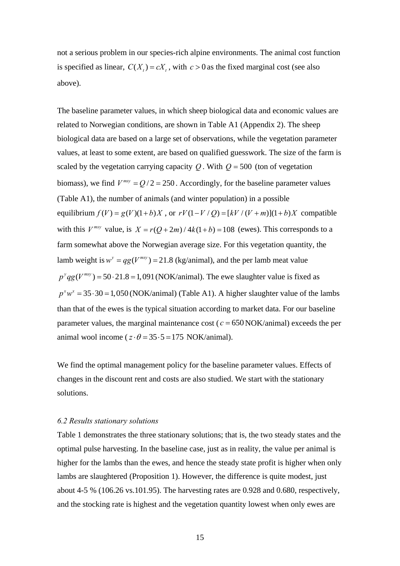not a serious problem in our species-rich alpine environments. The animal cost function is specified as linear,  $C(X_i) = cX_i$ , with  $c > 0$  as the fixed marginal cost (see also above).

The baseline parameter values, in which sheep biological data and economic values are related to Norwegian conditions, are shown in Table A1 (Appendix 2). The sheep biological data are based on a large set of observations, while the vegetation parameter values, at least to some extent, are based on qualified guesswork. The size of the farm is scaled by the vegetation carrying capacity  $Q$ . With  $Q = 500$  (ton of vegetation biomass), we find  $V^{msy} = Q/2 = 250$ . Accordingly, for the baseline parameter values (Table A1), the number of animals (and winter population) in a possible equilibrium  $f(V) = g(V)(1 + b)X$ , or  $rV(1 - V/Q) = [kV/(V+m)](1 + b)X$  compatible with this  $V^{msy}$  value, is  $X = r(Q + 2m) / 4k(1 + b) = 108$  (ewes). This corresponds to a farm somewhat above the Norwegian average size. For this vegetation quantity, the lamb weight is  $w^y = qg(V^{msy}) = 21.8$  (kg/animal), and the per lamb meat value  $p^y qg(V^{msy}) = 50 \cdot 21.8 = 1,091$  *(NOK/animal)*. The ewe slaughter value is fixed as  $p^x w^x = 35 \cdot 30 = 1,050$  *(NOK/animal) (Table A1). A higher slaughter value of the lambs* than that of the ewes is the typical situation according to market data. For our baseline parameter values, the marginal maintenance cost ( $c = 650 \text{ NOK/animal}$ ) exceeds the per animal wool income ( $z \cdot \theta = 35 \cdot 5 = 175$  NOK/animal).

We find the optimal management policy for the baseline parameter values. Effects of changes in the discount rent and costs are also studied. We start with the stationary solutions.

#### *6.2 Results stationary solutions*

Table 1 demonstrates the three stationary solutions; that is, the two steady states and the optimal pulse harvesting. In the baseline case, just as in reality, the value per animal is higher for the lambs than the ewes, and hence the steady state profit is higher when only lambs are slaughtered (Proposition 1). However, the difference is quite modest, just about 4-5 % (106.26 vs.101.95). The harvesting rates are 0.928 and 0.680, respectively, and the stocking rate is highest and the vegetation quantity lowest when only ewes are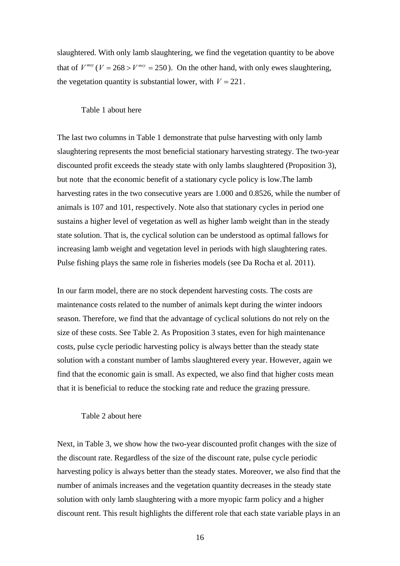slaughtered. With only lamb slaughtering, we find the vegetation quantity to be above that of  $V^{msy}$  ( $V = 268 > V^{msy} = 250$ ). On the other hand, with only ewes slaughtering, the vegetation quantity is substantial lower, with  $V = 221$ .

#### Table 1 about here

The last two columns in Table 1 demonstrate that pulse harvesting with only lamb slaughtering represents the most beneficial stationary harvesting strategy. The two-year discounted profit exceeds the steady state with only lambs slaughtered (Proposition 3), but note that the economic benefit of a stationary cycle policy is low.The lamb harvesting rates in the two consecutive years are 1.000 and 0.8526, while the number of animals is 107 and 101, respectively. Note also that stationary cycles in period one sustains a higher level of vegetation as well as higher lamb weight than in the steady state solution. That is, the cyclical solution can be understood as optimal fallows for increasing lamb weight and vegetation level in periods with high slaughtering rates. Pulse fishing plays the same role in fisheries models (see Da Rocha et al. 2011).

In our farm model, there are no stock dependent harvesting costs. The costs are maintenance costs related to the number of animals kept during the winter indoors season. Therefore, we find that the advantage of cyclical solutions do not rely on the size of these costs. See Table 2. As Proposition 3 states, even for high maintenance costs, pulse cycle periodic harvesting policy is always better than the steady state solution with a constant number of lambs slaughtered every year. However, again we find that the economic gain is small. As expected, we also find that higher costs mean that it is beneficial to reduce the stocking rate and reduce the grazing pressure.

#### Table 2 about here

Next, in Table 3, we show how the two-year discounted profit changes with the size of the discount rate. Regardless of the size of the discount rate, pulse cycle periodic harvesting policy is always better than the steady states. Moreover, we also find that the number of animals increases and the vegetation quantity decreases in the steady state solution with only lamb slaughtering with a more myopic farm policy and a higher discount rent. This result highlights the different role that each state variable plays in an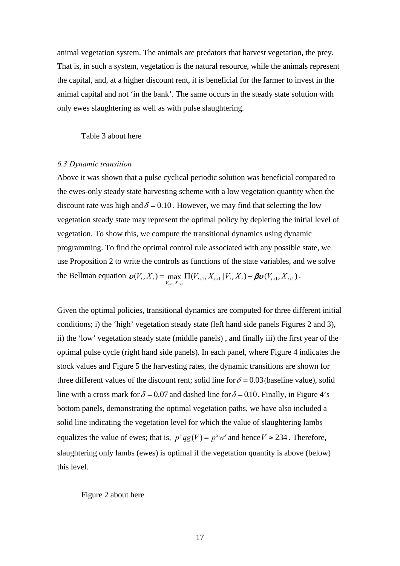animal vegetation system. The animals are predators that harvest vegetation, the prey. That is, in such a system, vegetation is the natural resource, while the animals represent the capital, and, at a higher discount rent, it is beneficial for the farmer to invest in the animal capital and not 'in the bank'. The same occurs in the steady state solution with only ewes slaughtering as well as with pulse slaughtering.

#### Table 3 about here

#### *6.3 Dynamic transition*

Above it was shown that a pulse cyclical periodic solution was beneficial compared to the ewes-only steady state harvesting scheme with a low vegetation quantity when the discount rate was high and  $\delta = 0.10$ . However, we may find that selecting the low vegetation steady state may represent the optimal policy by depleting the initial level of vegetation. To show this, we compute the transitional dynamics using dynamic programming. To find the optimal control rule associated with any possible state, we use Proposition 2 to write the controls as functions of the state variables, and we solve the Bellman equation  $\mathbf{v}(V_t, X_t) = \max_{V_{t+1}, X_{t+1}} \Pi(V_{t+1}, X_{t+1} | V_t, X_t) + \beta \mathbf{v}(V_{t+1}, X_{t+1})$  $\mathbf{D}(V_t, X_t) = \max \Pi(V_{t+1}, X_{t+1} | V_t, X_t) + \boldsymbol{\beta} \mathbf{D}(V_{t+1}, X_{t+1}).$ 

Given the optimal policies, transitional dynamics are computed for three different initial conditions; i) the 'high' vegetation steady state (left hand side panels Figures 2 and 3), ii) the 'low' vegetation steady state (middle panels) , and finally iii) the first year of the optimal pulse cycle (right hand side panels). In each panel, where Figure 4 indicates the stock values and Figure 5 the harvesting rates, the dynamic transitions are shown for three different values of the discount rent; solid line for  $\delta = 0.03$  (baseline value), solid line with a cross mark for  $\delta = 0.07$  and dashed line for  $\delta = 0.10$ . Finally, in Figure 4's bottom panels, demonstrating the optimal vegetation paths, we have also included a solid line indicating the vegetation level for which the value of slaughtering lambs equalizes the value of ewes; that is,  $p^y qg(V) = p^x w^x$  and hence  $V \approx 234$ . Therefore, slaughtering only lambs (ewes) is optimal if the vegetation quantity is above (below) this level.

#### Figure 2 about here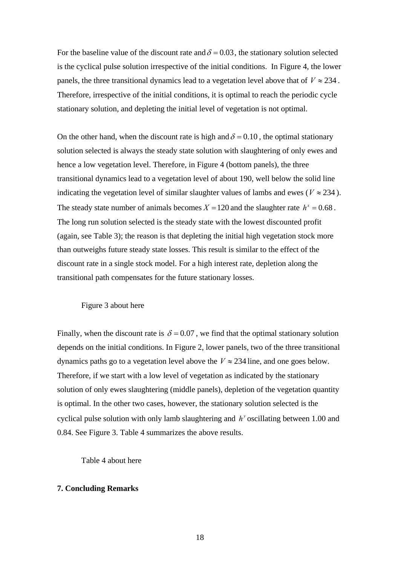For the baseline value of the discount rate and  $\delta = 0.03$ , the stationary solution selected is the cyclical pulse solution irrespective of the initial conditions. In Figure 4, the lower panels, the three transitional dynamics lead to a vegetation level above that of  $V \approx 234$ . Therefore, irrespective of the initial conditions, it is optimal to reach the periodic cycle stationary solution, and depleting the initial level of vegetation is not optimal.

On the other hand, when the discount rate is high and  $\delta = 0.10$ , the optimal stationary solution selected is always the steady state solution with slaughtering of only ewes and hence a low vegetation level. Therefore, in Figure 4 (bottom panels), the three transitional dynamics lead to a vegetation level of about 190, well below the solid line indicating the vegetation level of similar slaughter values of lambs and ewes ( $V \approx 234$ ). The steady state number of animals becomes  $X = 120$  and the slaughter rate  $h^x = 0.68$ . The long run solution selected is the steady state with the lowest discounted profit (again, see Table 3); the reason is that depleting the initial high vegetation stock more than outweighs future steady state losses. This result is similar to the effect of the discount rate in a single stock model. For a high interest rate, depletion along the transitional path compensates for the future stationary losses.

## Figure 3 about here

Finally, when the discount rate is  $\delta = 0.07$ , we find that the optimal stationary solution depends on the initial conditions. In Figure 2, lower panels, two of the three transitional dynamics paths go to a vegetation level above the  $V \approx 234$  line, and one goes below. Therefore, if we start with a low level of vegetation as indicated by the stationary solution of only ewes slaughtering (middle panels), depletion of the vegetation quantity is optimal. In the other two cases, however, the stationary solution selected is the cyclical pulse solution with only lamb slaughtering and  $h<sup>y</sup>$  oscillating between 1.00 and 0.84. See Figure 3. Table 4 summarizes the above results.

Table 4 about here

#### **7. Concluding Remarks**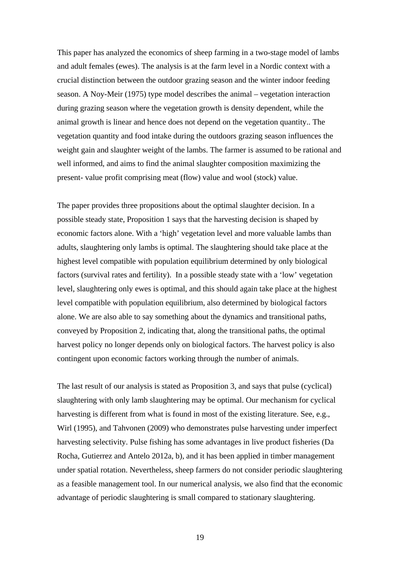This paper has analyzed the economics of sheep farming in a two-stage model of lambs and adult females (ewes). The analysis is at the farm level in a Nordic context with a crucial distinction between the outdoor grazing season and the winter indoor feeding season. A Noy-Meir (1975) type model describes the animal – vegetation interaction during grazing season where the vegetation growth is density dependent, while the animal growth is linear and hence does not depend on the vegetation quantity.. The vegetation quantity and food intake during the outdoors grazing season influences the weight gain and slaughter weight of the lambs. The farmer is assumed to be rational and well informed, and aims to find the animal slaughter composition maximizing the present- value profit comprising meat (flow) value and wool (stock) value.

The paper provides three propositions about the optimal slaughter decision. In a possible steady state, Proposition 1 says that the harvesting decision is shaped by economic factors alone. With a 'high' vegetation level and more valuable lambs than adults, slaughtering only lambs is optimal. The slaughtering should take place at the highest level compatible with population equilibrium determined by only biological factors (survival rates and fertility). In a possible steady state with a 'low' vegetation level, slaughtering only ewes is optimal, and this should again take place at the highest level compatible with population equilibrium, also determined by biological factors alone. We are also able to say something about the dynamics and transitional paths, conveyed by Proposition 2, indicating that, along the transitional paths, the optimal harvest policy no longer depends only on biological factors. The harvest policy is also contingent upon economic factors working through the number of animals.

The last result of our analysis is stated as Proposition 3, and says that pulse (cyclical) slaughtering with only lamb slaughtering may be optimal. Our mechanism for cyclical harvesting is different from what is found in most of the existing literature. See, e.g., Wirl (1995), and Tahvonen (2009) who demonstrates pulse harvesting under imperfect harvesting selectivity. Pulse fishing has some advantages in live product fisheries (Da Rocha, Gutierrez and Antelo 2012a, b), and it has been applied in timber management under spatial rotation. Nevertheless, sheep farmers do not consider periodic slaughtering as a feasible management tool. In our numerical analysis, we also find that the economic advantage of periodic slaughtering is small compared to stationary slaughtering.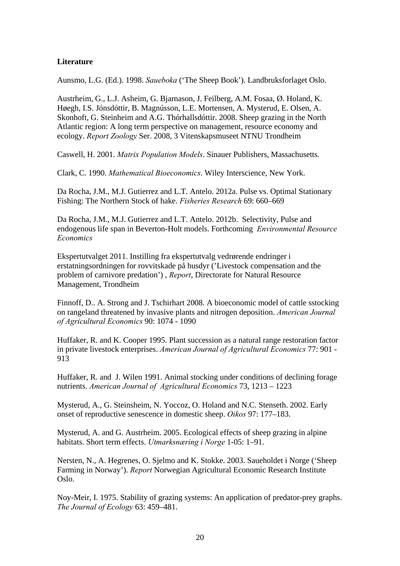## **Literature**

Aunsmo, L.G. (Ed.). 1998. *Saueboka* ('The Sheep Book'). Landbruksforlaget Oslo.

Austrheim, G., L.J. Asheim, G. Bjarnason, J. Feilberg, A.M. Fosaa, Ø. Holand, K. Høegh, I.S. Jónsdóttir, B. Magnússon, L.E. Mortensen, A. Mysterud, E. Olsen, A. Skonhoft, G. Steinheim and A.G. Thórhallsdóttir. 2008. Sheep grazing in the North Atlantic region: A long term perspective on management, resource economy and ecology. *Report Zoology* Ser. 2008, 3 Vitenskapsmuseet NTNU Trondheim

Caswell, H. 2001. *Matrix Population Models*. Sinauer Publishers, Massachusetts.

Clark, C. 1990. *Mathematical Bioeconomics*. Wiley Interscience, New York.

Da Rocha, J.M., M.J. Gutierrez and L.T. Antelo. 2012a. Pulse vs. Optimal Stationary Fishing: The Northern Stock of hake. *Fisheries Research* 69: 660–669

Da Rocha, J.M., M.J. Gutierrez and L.T. Antelo. 2012b. Selectivity, Pulse and endogenous life span in Beverton-Holt models. Forthcoming *Environmental Resource Economics* 

Ekspertutvalget 2011. Instilling fra ekspertutvalg vedrørende endringer i erstatningsordningen for rovvitskade på husdyr ('Livestock compensation and the problem of carnivore predation') , *Report*, Directorate for Natural Resource Management, Trondheim

Finnoff, D.. A. Strong and J. Tschirhart 2008. A bioeconomic model of cattle sstocking on rangeland threatened by invasive plants and nitrogen deposition. *American Journal of Agricultural Economics* 90: 1074 - 1090

Huffaker, R. and K. Cooper 1995. Plant succession as a natural range restoration factor in private livestock enterprises. *American Journal of Agricultural Economics* 77: 901 - 913

Huffaker, R. and J. Wilen 1991. Animal stocking under conditions of declining forage nutrients. *American Journal of Agricultural Economics* 73, 1213 – 1223

Mysterud, A., G. Steinsheim, N. Yoccoz, O. Holand and N.C. Stenseth. 2002. Early onset of reproductive senescence in domestic sheep. *Oikos* 97: 177–183.

Mysterud, A. and G. Austrheim. 2005. Ecological effects of sheep grazing in alpine habitats. Short term effects. *Utmarksnæring i Norge* 1-05: 1–91.

Nersten, N., A. Hegrenes, O. Sjelmo and K. Stokke. 2003. Saueholdet i Norge ('Sheep Farming in Norway'). *Report* Norwegian Agricultural Economic Research Institute Oslo.

Noy-Meir, I. 1975. Stability of grazing systems: An application of predator-prey graphs. *The Journal of Ecology* 63: 459–481.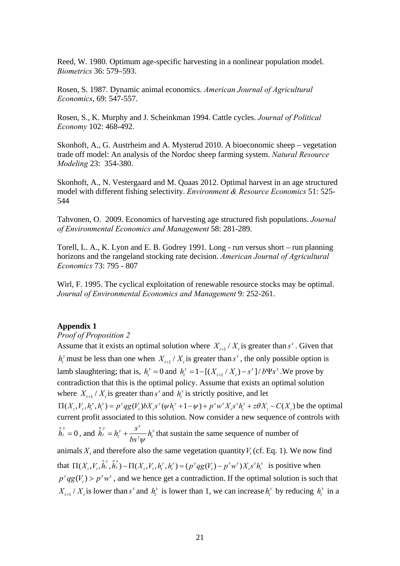Reed, W. 1980. Optimum age-specific harvesting in a nonlinear population model. *Biometrics* 36: 579–593.

Rosen, S. 1987. Dynamic animal economics. *American Journal of Agricultural Economics*, 69: 547-557.

Rosen, S., K. Murphy and J. Scheinkman 1994. Cattle cycles. *Journal of Political Economy* 102: 468-492.

Skonhoft, A., G. Austrheim and A. Mysterud 2010. A bioeconomic sheep – vegetation trade off model: An analysis of the Nordoc sheep farming system. *Natural Resource Modeling* 23: 354-380.

Skonhoft, A., N. Vestergaard and M. Quaas 2012. Optimal harvest in an age structured model with different fishing selectivity. *Environment & Resource Economics* 51: 525- 544

Tahvonen, O. 2009. Economics of harvesting age structured fish populations. *Journal of Environmental Economics and Management* 58: 281-289.

Torell, L. A., K. Lyon and E. B. Godrey 1991. Long - run versus short – run planning horizons and the rangeland stocking rate decision. *American Journal of Agricultural Economics* 73: 795 - 807

Wirl, F. 1995. The cyclical exploitation of renewable resource stocks may be optimal. *Journal of Environmental Economics and Management* 9: 252-261.

## **Appendix 1**

## *Proof of Proposition 2*

Assume that it exists an optimal solution where  $X_{t+1} / X_t$  is greater than  $s^x$ . Given that  $h_t^y$  must be less than one when  $X_{t+1}/X_t$  is greater than  $s^x$ , the only possible option is lamb slaughtering; that is,  $h_t^x = 0$  and  $h_t^y = 1 - [(X_{t+1} / X_t) - s^x] / b \Psi s^y$ . We prove by contradiction that this is the optimal policy. Assume that exists an optimal solution where  $X_{t+1} / X_t$  is greater than  $s^x$  and  $h_t^x$  is strictly positive, and let  $\Pi(X_t, V_t, h_t^y, h_t^x) = p^y q g(V_t) b X_t s^y (\psi h_t^y + 1 - \psi) + p^x w^x X_t s^x h_t^x + z \theta X_t - C(X_t)$  be the optimal current profit associated to this solution. Now consider a new sequence of controls with  $\hat{h}_t^x = 0$ , and  $\hat{h}_t^y = h_t^y + \frac{s^x}{h_t^y + h_t^y}$  $bs^y \psi$  $t = h_t^y + \frac{b}{x}h_t^x$  that sustain the same sequence of number of animals  $X_t$ , and therefore also the same vegetation quantity  $V_t$  (cf. Eq. 1). We now find that  $\Pi(X_{i}, V_{i}, \hat{h}_{i}^{y}, \hat{h}_{i}^{x}) - \Pi(X_{i}, V_{i}, h_{i}^{y}, h_{i}^{x}) = (p^{y}qg(V_{i}) - p^{x}w^{x})X_{i}s^{x}h_{i}^{x}$  is positive when  $p^y q g(V_t) > p^x w^x$ , and we hence get a contradiction. If the optimal solution is such that  $X_{t+1} / X_t$  is lower than  $s^x$  and  $h_t^y$  is lower than 1, we can increase  $h_t^y$  by reducing  $h_t^x$  in a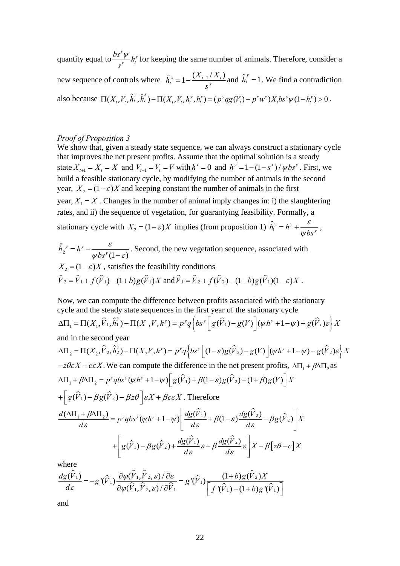quantity equal to  $\psi$ <sub>*ky*</sub>  $\frac{bs^{y}\psi}{s^{x}}h$ *s*  $\frac{\psi}{x}$   $h_i^y$  for keeping the same number of animals. Therefore, consider a new sequence of controls where  $\hat{h}_t^x = 1 - \frac{(\Delta_{t+1}/\Delta_t)}{g_t^x}$  $t = 1 - \frac{S}{S}$  $\hat{h}_t^x = 1 - \frac{(X_{t+1}/X_t)}{X_t}$  and  $\hat{h}_t^y = 1$ . We find a contradiction also because  $\Pi(X_t, V_t, \hat{h}_t^y, \hat{h}_t^x) - \Pi(X_t, V_t, h_t^y, h_t^x) = (p^y q g(V_t) - p^x w^x) X_t b s^y \psi(1-h_t^y) > 0$ .

## *Proof of Proposition 3*

We show that, given a steady state sequence, we can always construct a stationary cycle that improves the net present profits. Assume that the optimal solution is a steady state  $X_{t+1} = X_t = X$  and  $V_{t+1} = V_t = V$  with  $h^x = 0$  and  $h^y = 1 - (1 - s^x)/\psi bs^y$ . First, we build a feasible stationary cycle, by modifying the number of animals in the second year,  $X_2 = (1 - \varepsilon)X$  and keeping constant the number of animals in the first year,  $X_1 = X$ . Changes in the number of animal imply changes in: i) the slaughtering rates, and ii) the sequence of vegetation, for guarantying feasibility. Formally, a stationary cycle with  $X_2 = (1 - \varepsilon)X$  implies (from proposition 1)  $\hat{h}_1^y = h^y + \frac{\varepsilon}{w h x^2}$ *bs* ε  $\psi$  $= h^y + \frac{c}{a}$ ,

 $\hat{h}^{}_{2}$  $(1 - \varepsilon)$  $y = \lambda y$  $h_2^y = h^y - \frac{h}{\sqrt{h_2 h_1}}$ *bs*  $= h^{\nu} - \frac{\varepsilon}{\psi b s^{\nu} (1 - \varepsilon)}$ . Second, the new vegetation sequence, associated with  $X_2 = (1 - \varepsilon)X$ , satisfies the feasibility conditions  $\hat{V}_2 = \hat{V}_1 + f(\hat{V}_1) - (1 + b)g(\hat{V}_1)X$  and  $\hat{V}_1 = \hat{V}_2 + f(\hat{V}_2) - (1 + b)g(\hat{V}_1)(1 - \varepsilon)X$ .

Now, we can compute the difference between profits associated with the stationary cycle and the steady state sequences in the first year of the stationary cycle

$$
\Delta\Pi_1 = \Pi(X_1, \hat{V}_1, \hat{h}_1^{\nu}) - \Pi(X_1, V, h^{\nu}) = p^{\nu}q\left\{bs^{\nu}\left[g(\hat{V}_1) - g(V)\right](\psi h^{\nu} + 1 - \psi) + g(\hat{V}_t)\varepsilon\right\}X
$$

and in the second year

$$
\Delta\Pi_{2} = \Pi(X_{2}, \hat{V}_{2}, \hat{h}_{2}^{y}) - \Pi(X, V, h^{y}) = p^{y}q\left\{bs^{y}\left[(1-\varepsilon)g(\hat{V}_{2}) - g(V)\right](\psi h^{y} + 1 - \psi) - g(\hat{V}_{2})\varepsilon\right\}X
$$
  
\n
$$
-z\theta\varepsilon X + c\varepsilon X. \text{ We can compute the difference in the net present profits, } \Delta\Pi_{1} + \beta\Delta\Pi_{2} \text{ as}
$$
  
\n
$$
\Delta\Pi_{1} + \beta\Delta\Pi_{2} = p^{y}qbs^{y}(\psi h^{y} + 1 - \psi)\left[g(\hat{V}_{1}) + \beta(1-\varepsilon)g(\hat{V}_{2}) - (1+\beta)g(V)\right]X
$$
  
\n
$$
+ \left[g(\hat{V}_{1}) - \beta g(\hat{V}_{2}) - \beta z\theta\right]\varepsilon X + \beta c\varepsilon X. \text{ Therefore}
$$
  
\n
$$
\frac{d(\Delta\Pi_{1} + \beta\Delta\Pi_{2})}{d\varepsilon} = p^{y}qbs^{y}(\psi h^{y} + 1 - \psi)\left[\frac{dg(\hat{V}_{1})}{d\varepsilon} + \beta(1-\varepsilon)\frac{dg(\hat{V}_{2})}{d\varepsilon} - \beta g(\hat{V}_{2})\right]X
$$
  
\n
$$
+ \left[g(\hat{V}_{1}) - \beta g(\hat{V}_{2}) + \frac{dg(\hat{V}_{1})}{d\varepsilon}\varepsilon - \beta \frac{dg(\hat{V}_{2})}{d\varepsilon}\varepsilon\right]X - \beta[z\theta - c]X
$$

where

$$
\frac{dg(\hat{V}_1)}{d\varepsilon} = -g'(\hat{V}_1) \frac{\partial \varphi(\hat{V}_1, \hat{V}_2, \varepsilon)/\partial \varepsilon}{\partial \varphi(\hat{V}_1, \hat{V}_2, \varepsilon)/\partial \hat{V}_1} = g'(\hat{V}_1) \frac{(1+b)g(\hat{V}_2)X}{\left[f'(\hat{V}_1) - (1+b)g'(\hat{V}_1)\right]}
$$

and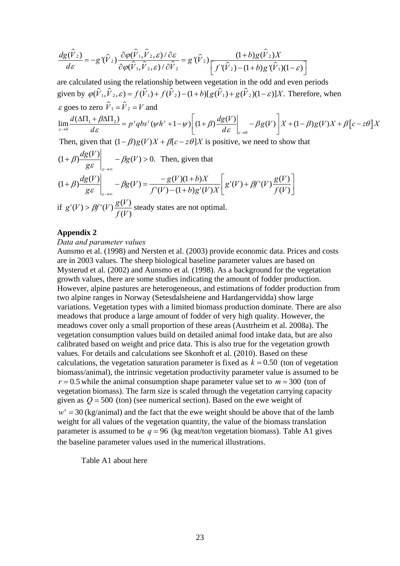$$
\frac{dg(\hat{V}_2)}{d\varepsilon} = -g'(\hat{V}_2) \frac{\partial \varphi(\hat{V}_1, \hat{V}_2, \varepsilon)/\partial \varepsilon}{\partial \varphi(\hat{V}_1, \hat{V}_2, \varepsilon)/\partial \hat{V}_2} = g'(\hat{V}_2) \frac{(1+b)g(\hat{V}_2)X}{\left[f'(\hat{V}_2) - (1+b)g'(\hat{V}_1)(1-\varepsilon)\right]}
$$

are calculated using the relationship between vegetation in the odd and even periods given by  $\varphi(\hat{V}_1, \hat{V}_2, \varepsilon) = f(\hat{V}_1) + f(\hat{V}_2) - (1+b)[g(\hat{V}_1) + g(\hat{V}_2)(1-\varepsilon)]X$ . Therefore, when  $\varepsilon$  goes to zero  $\hat{V}_1 = \hat{V}_2 = V$  and

$$
\lim_{\varepsilon \to 0} \frac{d(\Delta \Pi_1 + \beta \Delta \Pi_2)}{d\varepsilon} = p^{\nu} q b s^{\nu} (\psi h^{\nu} + 1 - \psi) \left[ (1 + \beta) \frac{dg(V)}{d\varepsilon} \bigg|_{\varepsilon \to 0} - \beta g(V) \right] X + (1 - \beta) g(V) X + \beta \left[ c - z \theta \right] X
$$

Then, given that  $(1 - \beta)g(V)X + \beta[c - z\theta]X$  is positive, we need to show that

$$
(1+\beta)\frac{dg(V)}{g\varepsilon}\Big|_{\varepsilon\to\infty} - \beta g(V) > 0.
$$
 Then, given that  
\n
$$
(1+\beta)\frac{dg(V)}{g\varepsilon}\Big|_{\varepsilon\to\infty} - \beta g(V) = \frac{-g(V)(1+b)X}{f'(V) - (1+b)g'(V)X}\Bigg[g'(V) + \beta f'(V)\frac{g(V)}{f(V)}\Bigg]
$$

if  $(V)$  $G(V) > \beta f'(V) \frac{g(V)}{g(W)}$ *f V*  $g'(V) > \beta f'(V) \frac{g(V)}{g(V)}$  steady states are not optimal.

## **Appendix 2**

#### *Data and parameter values*

Aunsmo et al. (1998) and Nersten et al. (2003) provide economic data. Prices and costs are in 2003 values. The sheep biological baseline parameter values are based on Mysterud et al. (2002) and Aunsmo et al. (1998). As a background for the vegetation growth values, there are some studies indicating the amount of fodder production. However, alpine pastures are heterogeneous, and estimations of fodder production from two alpine ranges in Norway (Setesdalsheiene and Hardangervidda) show large variations. Vegetation types with a limited biomass production dominate. There are also meadows that produce a large amount of fodder of very high quality. However, the meadows cover only a small proportion of these areas (Austrheim et al. 2008a). The vegetation consumption values build on detailed animal food intake data, but are also calibrated based on weight and price data. This is also true for the vegetation growth values. For details and calculations see Skonhoft et al. (2010). Based on these calculations, the vegetation saturation parameter is fixed as  $k = 0.50$  (ton of vegetation biomass/animal), the intrinsic vegetation productivity parameter value is assumed to be  $r = 0.5$  while the animal consumption shape parameter value set to  $m = 300$  (ton of vegetation biomass). The farm size is scaled through the vegetation carrying capacity given as  $Q = 500$  (ton) (see numerical section). Based on the ewe weight of  $w^x = 30$  (kg/animal) and the fact that the ewe weight should be above that of the lamb weight for all values of the vegetation quantity, the value of the biomass translation parameter is assumed to be  $q = 96$  (kg meat/ton vegetation biomass). Table A1 gives the baseline parameter values used in the numerical illustrations.

Table A1 about here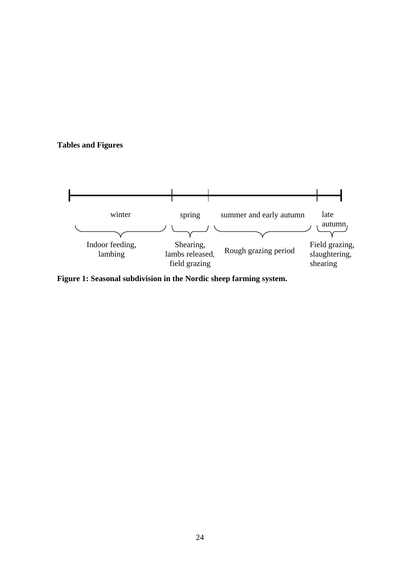## **Tables and Figures**



**Figure 1: Seasonal subdivision in the Nordic sheep farming system.**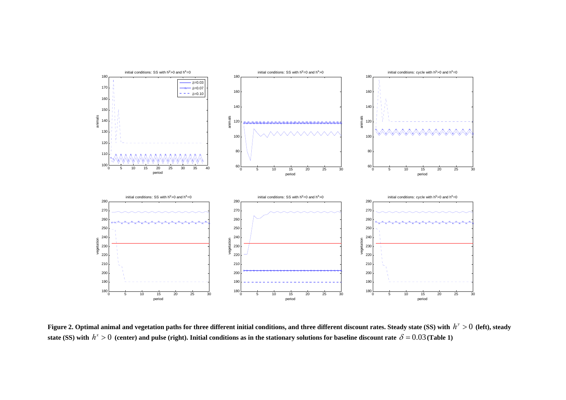

**Figure 2. Optimal animal and vegetation paths for three different initial conditions, and three different discount rates. Steady state (SS) with**  $h^y > 0$  **(left), steady** state (SS) with  $h^x > 0$  (center) and pulse (right). Initial conditions as in the stationary solutions for baseline discount rate  $\delta = 0.03$  (Table 1)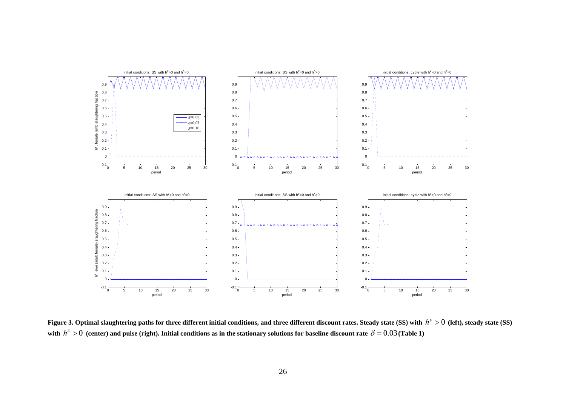

**Figure 3. Optimal slaughtering paths for three different initial conditions, and three different discount rates. Steady state (SS) with**  $h^y > 0$  **(left), steady state (SS)** with  $h^x > 0$  (center) and pulse (right). Initial conditions as in the stationary solutions for baseline discount rate  $\delta = 0.03$  (Table 1)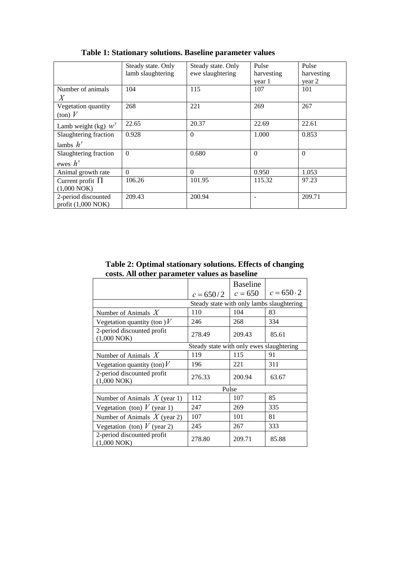|                              | Steady state. Only | Steady state. Only | Pulse      | Pulse      |
|------------------------------|--------------------|--------------------|------------|------------|
|                              | lamb slaughtering  | ewe slaughtering   | harvesting | harvesting |
|                              |                    |                    | year 1     | year 2     |
| Number of animals<br>Χ       | 104                | 115                | 107        | 101        |
| Vegetation quantity          | 268                | 221                | 269        | 267        |
| $\frac{1}{\pi}$ (ton) V      |                    |                    |            |            |
| Lamb weight (kg) $w^y$       | 22.65              | 20.37              | 22.69      | 22.61      |
| Slaughtering fraction        | 0.928              | $\Omega$           | 1.000      | 0.853      |
| lambs $h^y$                  |                    |                    |            |            |
| Slaughtering fraction        | $\Omega$           | 0.680              | $\Omega$   | $\Omega$   |
| ewes $h^x$                   |                    |                    |            |            |
| Animal growth rate           | $\Omega$           | $\Omega$           | 0.950      | 1.053      |
| Current profit $\Pi$         | 106.26             | 101.95             | 115.32     | 97.23      |
| (1,000 NOK)                  |                    |                    |            |            |
| 2-period discounted          | 209.43             | 200.94             |            | 209.71     |
| profit $(1,000 \text{ NOK})$ |                    |                    |            |            |

 **Table 1: Stationary solutions. Baseline parameter values** 

**Table 2: Optimal stationary solutions. Effects of changing costs. All other parameter values as baseline** 

|                                           |                                           | <b>Baseline</b> | $c = 650 \cdot 2$ |
|-------------------------------------------|-------------------------------------------|-----------------|-------------------|
|                                           | $c = 650/2$                               | $c = 650$       |                   |
|                                           | Steady state with only lambs slaughtering |                 |                   |
| Number of Animals $X$                     | 110                                       | 104             | 83                |
| Vegetation quantity (ton ) $V$            | 246                                       | 268             | 334               |
| 2-period discounted profit<br>(1,000 NOK) | 278.49                                    | 209.43          | 85.61             |
|                                           | Steady state with only ewes slaughtering  |                 |                   |
| Number of Animals $X$                     | 119                                       | 115             | 91                |
| Vegetation quantity (ton) $V$             | 196                                       | 221             | 311               |
| 2-period discounted profit<br>(1,000 NOK) | 276.33                                    | 200.94          | 63.67             |
|                                           | Pulse                                     |                 |                   |
| Number of Animals $X$ (year 1)            | 112                                       | 107             | 85                |
| Vegetation (ton) $V$ (year 1)             | 247                                       | 269             | 335               |
| Number of Animals $X$ (year 2)            | 107                                       | 101             | 81                |
| Vegetation (ton) $V$ (year 2)             | 245                                       | 267             | 333               |
| 2-period discounted profit<br>(1,000 NOK) | 278.80                                    | 209.71          | 85.88             |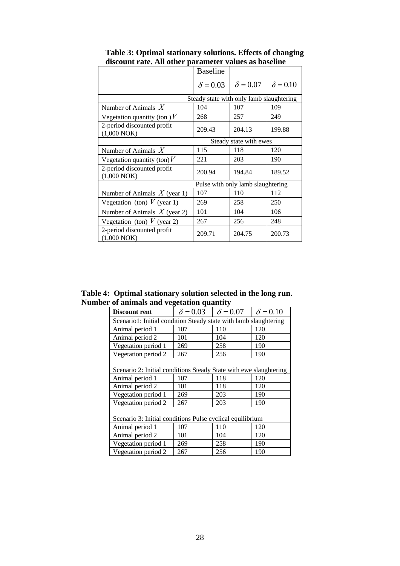| ount rute. The ouitr                      |                 |                                          |                 |
|-------------------------------------------|-----------------|------------------------------------------|-----------------|
|                                           | <b>Baseline</b> |                                          |                 |
|                                           | $\delta$ = 0.03 | $\delta = 0.07$                          | $\delta = 0.10$ |
|                                           |                 | Steady state with only lamb slaughtering |                 |
| Number of Animals $X$                     | 104             | 107                                      | 109             |
| Vegetation quantity (ton ) $V$            | 268             | 257                                      | 249             |
| 2-period discounted profit<br>(1,000 NOK) | 209.43          | 204.13                                   | 199.88          |
|                                           |                 | Steady state with ewes                   |                 |
| Number of Animals $X$                     | 115             | 118                                      | 120             |
| Vegetation quantity (ton) $V$             | 221             | 203                                      | 190             |
| 2-period discounted profit<br>(1,000 NOK) | 200.94          | 194.84                                   | 189.52          |
|                                           |                 | Pulse with only lamb slaughtering        |                 |
| Number of Animals $X$ (year 1)            | 107             | 110                                      | 112             |
| Vegetation (ton) $V$ (year 1)             | 269             | 258                                      | 250             |
| Number of Animals $X$ (year 2)            | 101             | 104                                      | 106             |
| Vegetation (ton) $V$ (year 2)             | 267             | 256                                      | 248             |
| 2-period discounted profit<br>(1,000 NOK) | 209.71          | 204.75                                   | 200.73          |

**Table 3: Optimal stationary solutions. Effects of changing discount rate. All other parameter values as baseline** 

**Table 4: Optimal stationary solution selected in the long run. Number of animals and vegetation quantity** 

| Discount rent                                                     | $\delta$ = 0.03 | $\delta = 0.07$ | $\delta = 0.10$ |
|-------------------------------------------------------------------|-----------------|-----------------|-----------------|
| Scenario1: Initial condition Steady state with lamb slaughtering  |                 |                 |                 |
| Animal period 1                                                   | 107             | 110             | 120             |
| Animal period 2                                                   | 101             | 104             | 120             |
| Vegetation period 1                                               | 269             | 258             | 190             |
| Vegetation period 2                                               | 267             | 256             | 190             |
| Scenario 2: Initial conditions Steady State with ewe slaughtering |                 |                 |                 |
| Animal period 1                                                   | 107             | 118             | 120             |
| Animal period 2                                                   | 101             | 118             | 120             |
| Vegetation period 1                                               | 269             | 203             | 190             |
| Vegetation period 2                                               | 267             | 203             | 190             |
| Scenario 3: Initial conditions Pulse cyclical equilibrium         |                 |                 |                 |
| Animal period 1                                                   | 107             | 110             | 120             |
| Animal period 2                                                   | 101             | 104             | 120             |
| Vegetation period 1                                               | 269             | 258             | 190             |
| Vegetation period 2                                               | 267             | 256             | 190             |